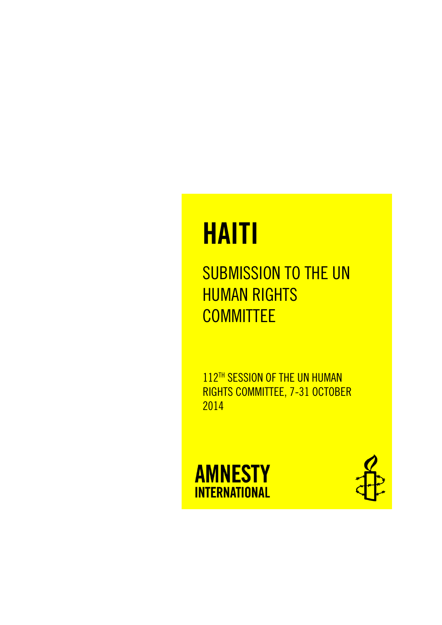# **HAITI**

SUBMISSION TO THE UN **HUMAN RIGHTS** COMMITTEE

112TH SESSION OF THE UN HUMAN RIGHTS COMMITTEE, 7-31 OCTOBER 2014



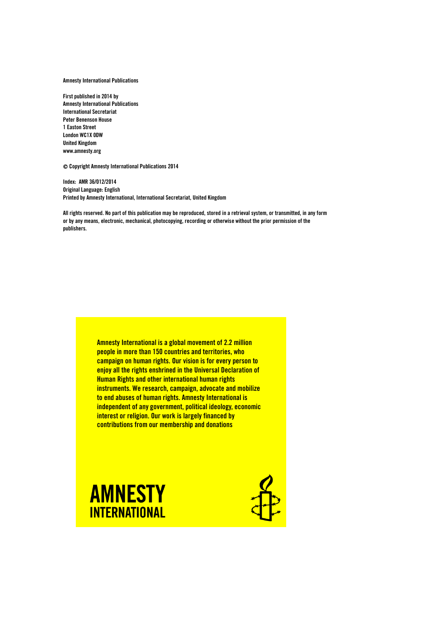Amnesty International Publications

First published in 2014 by Amnesty International Publications International Secretariat Peter Benenson House 1 Easton Street London WC1X 0DW United Kingdom www.amnesty.org

Copyright Amnesty International Publications 2014

Index: AMR 36/012/2014 Original Language: English Printed by Amnesty International, International Secretariat, United Kingdom

All rights reserved. No part of this publication may be reproduced, stored in a retrieval system, or transmitted, in any form or by any means, electronic, mechanical, photocopying, recording or otherwise without the prior permission of the publishers.

> Amnesty International is a global movement of 2.2 million people in more than 150 countries and territories, who campaign on human rights. Our vision is for every person to enjoy all the rights enshrined in the Universal Declaration of Human Rights and other international human rights instruments. We research, campaign, advocate and mobilize to end abuses of human rights. Amnesty International is independent of any government, political ideology, economic interest or religion. Our work is largely financed by contributions from our membership and donations



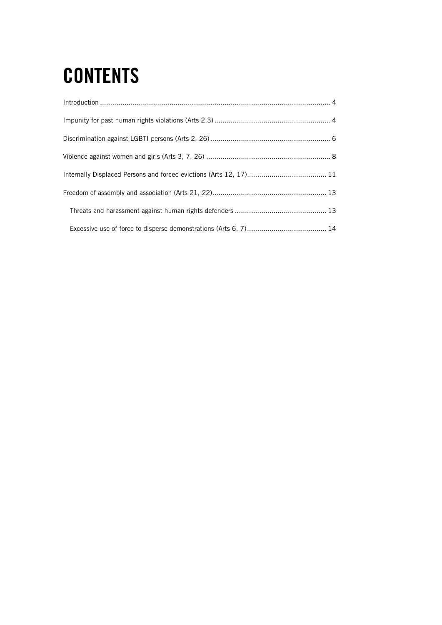## **CONTENTS**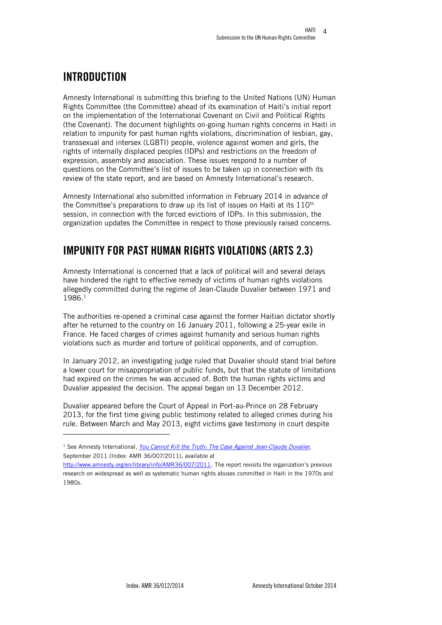## <span id="page-3-0"></span>INTRODUCTION

j

Amnesty International is submitting this briefing to the United Nations (UN) Human Rights Committee (the Committee) ahead of its examination of Haiti's initial report on the implementation of the International Covenant on Civil and Political Rights (the Covenant). The document highlights on-going human rights concerns in Haiti in relation to impunity for past human rights violations, discrimination of lesbian, gay, transsexual and intersex (LGBTI) people, violence against women and girls, the rights of internally displaced peoples (IDPs) and restrictions on the freedom of expression, assembly and association. These issues respond to a number of questions on the Committee's list of issues to be taken up in connection with its review of the state report, and are based on Amnesty International's research.

Amnesty International also submitted information in February 2014 in advance of the Committee's preparations to draw up its list of issues on Haiti at its  $110<sup>th</sup>$ session, in connection with the forced evictions of IDPs. In this submission, the organization updates the Committee in respect to those previously raised concerns.

## <span id="page-3-1"></span>IMPUNITY FOR PAST HUMAN RIGHTS VIOLATIONS (ARTS 2.3)

Amnesty International is concerned that a lack of political will and several delays have hindered the right to effective remedy of victims of human rights violations allegedly committed during the regime of Jean-Claude Duvalier between 1971 and 1986<sup>1</sup>

The authorities re-opened a criminal case against the former Haitian dictator shortly after he returned to the country on 16 January 2011, following a 25-year exile in France. He faced charges of crimes against humanity and serious human rights violations such as murder and torture of political opponents, and of corruption.

In January 2012, an investigating judge ruled that Duvalier should stand trial before a lower court for misappropriation of public funds, but that the statute of limitations had expired on the crimes he was accused of. Both the human rights victims and Duvalier appealed the decision. The appeal began on 13 December 2012.

Duvalier appeared before the Court of Appeal in Port-au-Prince on 28 February 2013, for the first time giving public testimony related to alleged crimes during his rule. Between March and May 2013, eight victims gave testimony in court despite

<sup>1</sup> See Amnesty International, *[You Cannot Kill the Truth: The Case Against](http://www.amnesty.org/en/library/asset/AMR36/007/2011/en/c1eaace5-e98b-4d9c-b0b6-48dcbd7b75ae/amr360072011en.pdf) Jean-Claude Duvalier*, September 2011 (Index: AMR 36/007/2011), available at

[http://www.amnesty.org/en/library/info/AMR36/007/2011.](http://www.amnesty.org/en/library/info/AMR36/007/2011) The report revisits the organization's previous research on widespread as well as systematic human rights abuses committed in Haiti in the 1970s and 1980s.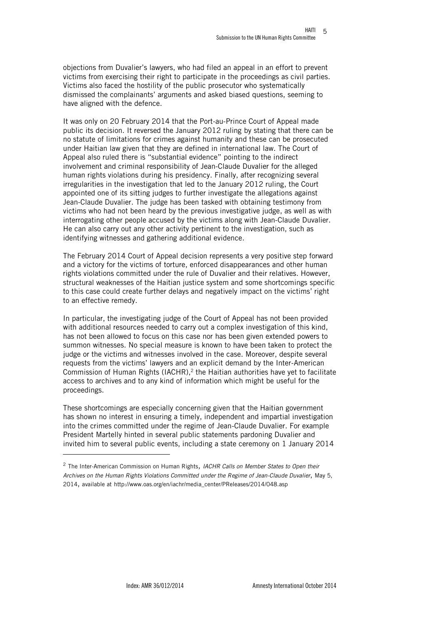objections from Duvalier's lawyers, who had filed an appeal in an effort to prevent victims from exercising their right to participate in the proceedings as civil parties. Victims also faced the hostility of the public prosecutor who systematically dismissed the complainants' arguments and asked biased questions, seeming to have aligned with the defence.

It was only on 20 February 2014 that the Port-au-Prince Court of Appeal made public its decision. It reversed the January 2012 ruling by stating that there can be no statute of limitations for crimes against humanity and these can be prosecuted under Haitian law given that they are defined in international law. The Court of Appeal also ruled there is "substantial evidence" pointing to the indirect involvement and criminal responsibility of Jean-Claude Duvalier for the alleged human rights violations during his presidency. Finally, after recognizing several irregularities in the investigation that led to the January 2012 ruling, the Court appointed one of its sitting judges to further investigate the allegations against Jean-Claude Duvalier. The judge has been tasked with obtaining testimony from victims who had not been heard by the previous investigative judge, as well as with interrogating other people accused by the victims along with Jean-Claude Duvalier. He can also carry out any other activity pertinent to the investigation, such as identifying witnesses and gathering additional evidence.

The February 2014 Court of Appeal decision represents a very positive step forward and a victory for the victims of torture, enforced disappearances and other human rights violations committed under the rule of Duvalier and their relatives. However, structural weaknesses of the Haitian justice system and some shortcomings specific to this case could create further delays and negatively impact on the victims' right to an effective remedy.

In particular, the investigating judge of the Court of Appeal has not been provided with additional resources needed to carry out a complex investigation of this kind, has not been allowed to focus on this case nor has been given extended powers to summon witnesses. No special measure is known to have been taken to protect the judge or the victims and witnesses involved in the case. Moreover, despite several requests from the victims' lawyers and an explicit demand by the Inter-American Commission of Human Rights (IACHR), $<sup>2</sup>$  the Haitian authorities have yet to facilitate</sup> access to archives and to any kind of information which might be useful for the proceedings.

These shortcomings are especially concerning given that the Haitian government has shown no interest in ensuring a timely, independent and impartial investigation into the crimes committed under the regime of Jean-Claude Duvalier. For example President Martelly hinted in several public statements pardoning Duvalier and invited him to several public events, including a state ceremony on 1 January 2014

l

<sup>2</sup> The Inter-American Commission on Human Rights*, IACHR Calls on Member States to Open their Archives on the Human Rights Violations Committed under the Regime of Jean-Claude Duvalier*, May 5, 2014, available at http://www.oas.org/en/iachr/media\_center/PReleases/2014/048.asp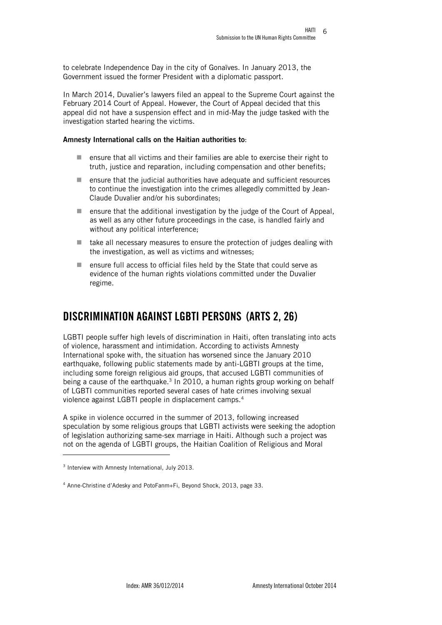to celebrate Independence Day in the city of Gonaïves. In January 2013, the Government issued the former President with a diplomatic passport.

In March 2014, Duvalier's lawyers filed an appeal to the Supreme Court against the February 2014 Court of Appeal. However, the Court of Appeal decided that this appeal did not have a suspension effect and in mid-May the judge tasked with the investigation started hearing the victims.

#### Amnesty International calls on the Haitian authorities to:

- ensure that all victims and their families are able to exercise their right to truth, justice and reparation, including compensation and other benefits;
- $\blacksquare$  ensure that the judicial authorities have adequate and sufficient resources to continue the investigation into the crimes allegedly committed by Jean-Claude Duvalier and/or his subordinates;
- ensure that the additional investigation by the judge of the Court of Appeal, as well as any other future proceedings in the case, is handled fairly and without any political interference;
- $\blacksquare$  take all necessary measures to ensure the protection of judges dealing with the investigation, as well as victims and witnesses;
- ensure full access to official files held by the State that could serve as evidence of the human rights violations committed under the Duvalier regime.

## <span id="page-5-0"></span>DISCRIMINATION AGAINST LGBTI PERSONS (ARTS 2, 26)

LGBTI people suffer high levels of discrimination in Haiti, often translating into acts of violence, harassment and intimidation. According to activists Amnesty International spoke with, the situation has worsened since the January 2010 earthquake, following public statements made by anti-LGBTI groups at the time, including some foreign religious aid groups, that accused LGBTI communities of being a cause of the earthquake. $3$  In 2010, a human rights group working on behalf of LGBTI communities reported several cases of hate crimes involving sexual violence against LGBTI people in displacement camps.<sup>4</sup>

A spike in violence occurred in the summer of 2013, following increased speculation by some religious groups that LGBTI activists were seeking the adoption of legislation authorizing same-sex marriage in Haiti. Although such a project was not on the agenda of LGBTI groups, the Haitian Coalition of Religious and Moral

<sup>&</sup>lt;sup>3</sup> Interview with Amnesty International, July 2013.

<sup>4</sup> Anne-Christine d'Adesky and PotoFanm+Fi, Beyond Shock, 2013, page 33.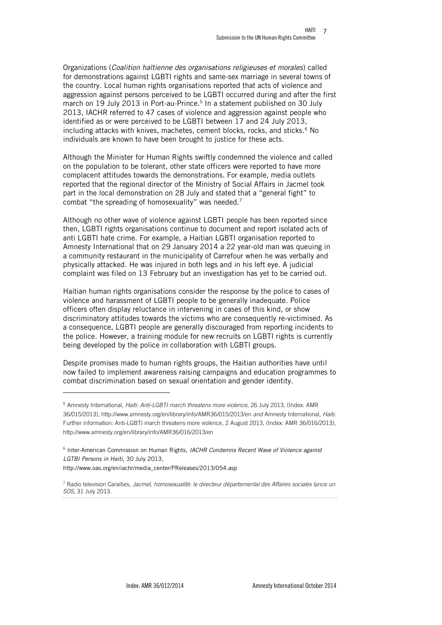Organizations (*Coalition haïtienne des organisations religieuses et morales*) called for demonstrations against LGBTI rights and same-sex marriage in several towns of the country. Local human rights organisations reported that acts of violence and aggression against persons perceived to be LGBTI occurred during and after the first march on 19 July 2013 in Port-au-Prince. 5 In a statement published on 30 July 2013, IACHR referred to 47 cases of violence and aggression against people who identified as or were perceived to be LGBTI between 17 and 24 July 2013, including attacks with knives, machetes, cement blocks, rocks, and sticks.<sup>6</sup> No individuals are known to have been brought to justice for these acts.

Although the Minister for Human Rights swiftly condemned the violence and called on the population to be tolerant, other state officers were reported to have more complacent attitudes towards the demonstrations. For example, media outlets reported that the regional director of the Ministry of Social Affairs in Jacmel took part in the local demonstration on 28 July and stated that a "general fight" to combat "the spreading of homosexuality" was needed.<sup>7</sup>

Although no other wave of violence against LGBTI people has been reported since then, LGBTI rights organisations continue to document and report isolated acts of anti LGBTI hate crime. For example, a Haitian LGBTI organisation reported to Amnesty International that on 29 January 2014 a 22 year-old man was queuing in a community restaurant in the municipality of Carrefour when he was verbally and physically attacked. He was injured in both legs and in his left eye. A judicial complaint was filed on 13 February but an investigation has yet to be carried out.

Haitian human rights organisations consider the response by the police to cases of violence and harassment of LGBTI people to be generally inadequate. Police officers often display reluctance in intervening in cases of this kind, or show discriminatory attitudes towards the victims who are consequently re-victimised. As a consequence, LGBTI people are generally discouraged from reporting incidents to the police. However, a training module for new recruits on LGBTI rights is currently being developed by the police in collaboration with LGBTI groups.

Despite promises made to human rights groups, the Haitian authorities have until now failed to implement awareness raising campaigns and education programmes to combat discrimination based on sexual orientation and gender identity.

l

<sup>5</sup> Amnesty International, *Haiti: Anti-LGBTI march threatens more violence*, 26 July 2013, (Index: AMR 36/015/2013), http://www.amnesty.org/en/library/info/AMR36/015/2013/en *and* Amnesty International, *Haiti:*  Further information: Anti-LGBTI march threatens more violence, 2 August 2013, (Index: AMR 36/016/2013), http://www.amnesty.org/en/library/info/AMR36/016/2013/en

<sup>6</sup> Inter-American Commission on Human Rights, *IACHR Condemns Recent Wave of Violence against LGTBI Persons in Haiti*, 30 July 2013,

http://www.oas.org/en/iachr/media\_center/PReleases/2013/054.asp

<sup>7</sup> Radio television Caraibes, *Jacmel, homosexualité: le directeur départemental des Affaires sociales lance un SOS*, 31 July 2013.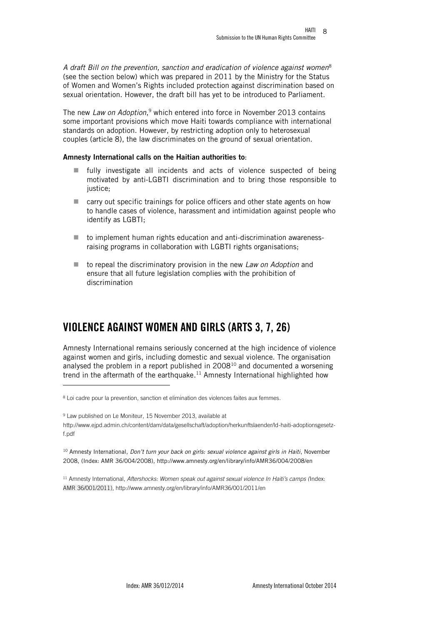*A draft Bill on the prevention, sanction and eradication of violence against women*<sup>8</sup> (see the section below) which was prepared in 2011 by the Ministry for the Status of Women and Women's Rights included protection against discrimination based on sexual orientation. However, the draft bill has yet to be introduced to Parliament.

The new *Law on Adoption*, <sup>9</sup> which entered into force in November 2013 contains some important provisions which move Haiti towards compliance with international standards on adoption. However, by restricting adoption only to heterosexual couples (article 8), the law discriminates on the ground of sexual orientation.

#### Amnesty International calls on the Haitian authorities to:

- $\blacksquare$  fully investigate all incidents and acts of violence suspected of being motivated by anti-LGBTI discrimination and to bring those responsible to justice;
- carry out specific trainings for police officers and other state agents on how to handle cases of violence, harassment and intimidation against people who identify as LGBTI;
- to implement human rights education and anti-discrimination awarenessraising programs in collaboration with LGBTI rights organisations;
- to repeal the discriminatory provision in the new *Law on Adoption* and ensure that all future legislation complies with the prohibition of discrimination

## <span id="page-7-0"></span>VIOLENCE AGAINST WOMEN AND GIRLS (ARTS 3, 7, 26)

Amnesty International remains seriously concerned at the high incidence of violence against women and girls, including domestic and sexual violence. The organisation analysed the problem in a report published in  $2008<sup>10</sup>$  and documented a worsening trend in the aftermath of the earthquake.<sup>11</sup> Amnesty International highlighted how

 $\overline{\phantom{0}}$ 

<sup>9</sup> Law published on Le Moniteur, 15 November 2013, available at http://www.ejpd.admin.ch/content/dam/data/gesellschaft/adoption/herkunftslaender/ld-haiti-adoptionsgesetzf.pdf

<sup>10</sup> Amnesty International, *Don't turn your back on girls: sexual violence against girls in Haiti*, November 2008, (Index: AMR 36/004/2008), http://www.amnesty.org/en/library/info/AMR36/004/2008/en

<sup>11</sup> Amnesty International, *Aftershocks: Women speak out against sexual violence In Haiti's camps (*Index: AMR 36/001/2011), http://www.amnesty.org/en/library/info/AMR36/001/2011/en

<sup>&</sup>lt;sup>8</sup> Loi cadre pour la prevention, sanction et elimination des violences faites aux femmes.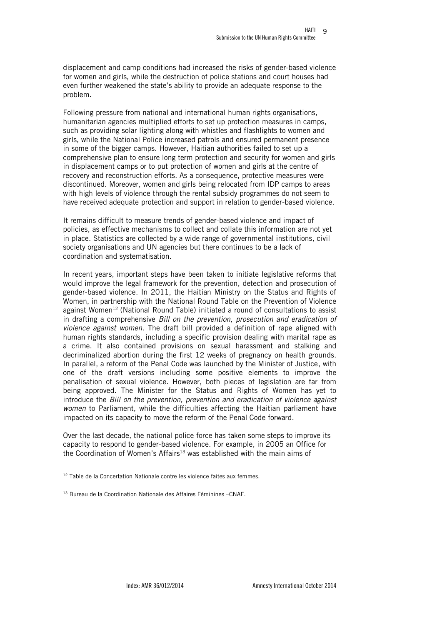displacement and camp conditions had increased the risks of gender-based violence for women and girls, while the destruction of police stations and court houses had even further weakened the state's ability to provide an adequate response to the problem.

Following pressure from national and international human rights organisations, humanitarian agencies multiplied efforts to set up protection measures in camps, such as providing solar lighting along with whistles and flashlights to women and girls, while the National Police increased patrols and ensured permanent presence in some of the bigger camps. However, Haitian authorities failed to set up a comprehensive plan to ensure long term protection and security for women and girls in displacement camps or to put protection of women and girls at the centre of recovery and reconstruction efforts. As a consequence, protective measures were discontinued. Moreover, women and girls being relocated from IDP camps to areas with high levels of violence through the rental subsidy programmes do not seem to have received adequate protection and support in relation to gender-based violence.

It remains difficult to measure trends of gender-based violence and impact of policies, as effective mechanisms to collect and collate this information are not yet in place. Statistics are collected by a wide range of governmental institutions, civil society organisations and UN agencies but there continues to be a lack of coordination and systematisation.

In recent years, important steps have been taken to initiate legislative reforms that would improve the legal framework for the prevention, detection and prosecution of gender-based violence. In 2011, the Haitian Ministry on the Status and Rights of Women, in partnership with the National Round Table on the Prevention of Violence against Women<sup>12</sup> (National Round Table) initiated a round of consultations to assist in drafting a comprehensive *Bill on the prevention, prosecution and eradication of violence against women*. The draft bill provided a definition of rape aligned with human rights standards, including a specific provision dealing with marital rape as a crime. It also contained provisions on sexual harassment and stalking and decriminalized abortion during the first 12 weeks of pregnancy on health grounds. In parallel, a reform of the Penal Code was launched by the Minister of Justice, with one of the draft versions including some positive elements to improve the penalisation of sexual violence. However, both pieces of legislation are far from being approved. The Minister for the Status and Rights of Women has yet to introduce the *Bill on the prevention, prevention and eradication of violence against women* to Parliament, while the difficulties affecting the Haitian parliament have impacted on its capacity to move the reform of the Penal Code forward.

Over the last decade, the national police force has taken some steps to improve its capacity to respond to gender-based violence. For example, in 2005 an Office for the Coordination of Women's Affairs<sup>13</sup> was established with the main aims of

 $12$  Table de la Concertation Nationale contre les violence faites aux femmes.

<sup>13</sup> Bureau de la Coordination Nationale des Affaires Féminines –CNAF.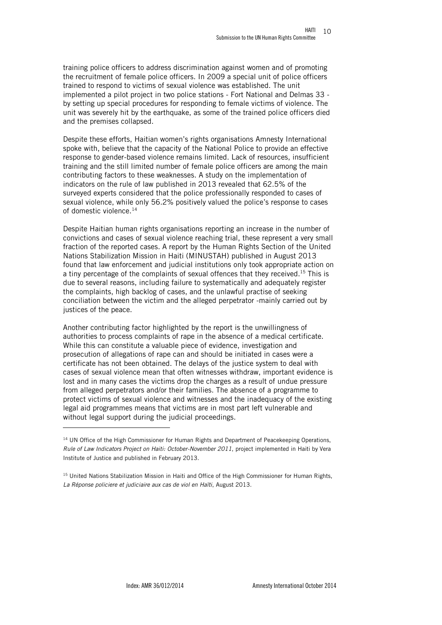training police officers to address discrimination against women and of promoting the recruitment of female police officers. In 2009 a special unit of police officers trained to respond to victims of sexual violence was established. The unit implemented a pilot project in two police stations - Fort National and Delmas 33 by setting up special procedures for responding to female victims of violence. The unit was severely hit by the earthquake, as some of the trained police officers died and the premises collapsed.

Despite these efforts, Haitian women's rights organisations Amnesty International spoke with, believe that the capacity of the National Police to provide an effective response to gender-based violence remains limited. Lack of resources, insufficient training and the still limited number of female police officers are among the main contributing factors to these weaknesses. A study on the implementation of indicators on the rule of law published in 2013 revealed that 62.5% of the surveyed experts considered that the police professionally responded to cases of sexual violence, while only 56.2% positively valued the police's response to cases of domestic violence.<sup>14</sup>

Despite Haitian human rights organisations reporting an increase in the number of convictions and cases of sexual violence reaching trial, these represent a very small fraction of the reported cases. A report by the Human Rights Section of the United Nations Stabilization Mission in Haiti (MINUSTAH) published in August 2013 found that law enforcement and judicial institutions only took appropriate action on a tiny percentage of the complaints of sexual offences that they received. <sup>15</sup> This is due to several reasons, including failure to systematically and adequately register the complaints, high backlog of cases, and the unlawful practise of seeking conciliation between the victim and the alleged perpetrator -mainly carried out by justices of the peace.

Another contributing factor highlighted by the report is the unwillingness of authorities to process complaints of rape in the absence of a medical certificate. While this can constitute a valuable piece of evidence, investigation and prosecution of allegations of rape can and should be initiated in cases were a certificate has not been obtained. The delays of the justice system to deal with cases of sexual violence mean that often witnesses withdraw, important evidence is lost and in many cases the victims drop the charges as a result of undue pressure from alleged perpetrators and/or their families. The absence of a programme to protect victims of sexual violence and witnesses and the inadequacy of the existing legal aid programmes means that victims are in most part left vulnerable and without legal support during the judicial proceedings.

l

<sup>&</sup>lt;sup>14</sup> UN Office of the High Commissioner for Human Rights and Department of Peacekeeping Operations, *Rule of Law Indicators Project on Haiti: October-November 2011*, project implemented in Haiti by Vera Institute of Justice and published in February 2013.

<sup>&</sup>lt;sup>15</sup> United Nations Stabilization Mission in Haiti and Office of the High Commissioner for Human Rights, *La Réponse policiere et judiciaire aux cas de viol en Haïti*, August 2013.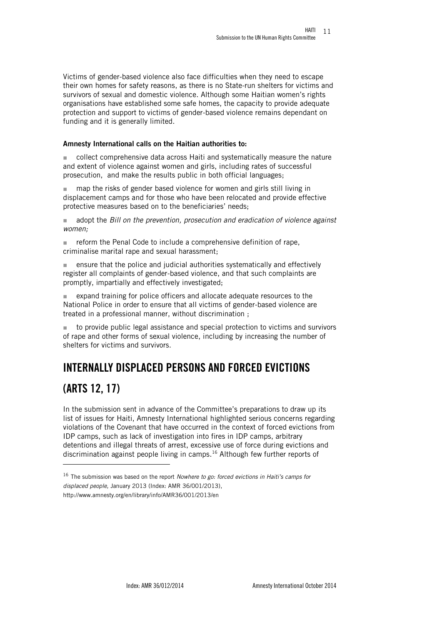Victims of gender-based violence also face difficulties when they need to escape their own homes for safety reasons, as there is no State-run shelters for victims and survivors of sexual and domestic violence. Although some Haitian women's rights organisations have established some safe homes, the capacity to provide adequate protection and support to victims of gender-based violence remains dependant on funding and it is generally limited.

#### Amnesty International calls on the Haitian authorities to:

collect comprehensive data across Haiti and systematically measure the nature and extent of violence against women and girls, including rates of successful prosecution, and make the results public in both official languages;

■ map the risks of gender based violence for women and girls still living in displacement camps and for those who have been relocated and provide effective protective measures based on to the beneficiaries' needs;

 adopt the *Bill on the prevention, prosecution and eradication of violence against women;*

 $\blacksquare$  reform the Penal Code to include a comprehensive definition of rape, criminalise marital rape and sexual harassment;

 $\blacksquare$  ensure that the police and judicial authorities systematically and effectively register all complaints of gender-based violence, and that such complaints are promptly, impartially and effectively investigated;

 expand training for police officers and allocate adequate resources to the National Police in order to ensure that all victims of gender-based violence are treated in a professional manner, without discrimination ;

 to provide public legal assistance and special protection to victims and survivors of rape and other forms of sexual violence, including by increasing the number of shelters for victims and survivors.

## <span id="page-10-0"></span>INTERNALLY DISPLACED PERSONS AND FORCED EVICTIONS

## (ARTS 12, 17)

l

In the submission sent in advance of the Committee's preparations to draw up its list of issues for Haiti, Amnesty International highlighted serious concerns regarding violations of the Covenant that have occurred in the context of forced evictions from IDP camps, such as lack of investigation into fires in IDP camps, arbitrary detentions and illegal threats of arrest, excessive use of force during evictions and discrimination against people living in camps. <sup>16</sup> Although few further reports of

<sup>16</sup> The submission was based on the report *Nowhere to go: forced evictions in Haiti's camps for displaced people,* January 2013 (Index: AMR 36/001/2013), http://www.amnesty.org/en/library/info/AMR36/001/2013/en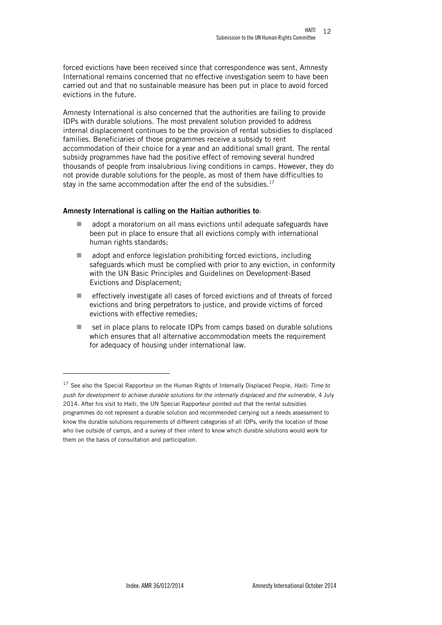forced evictions have been received since that correspondence was sent, Amnesty International remains concerned that no effective investigation seem to have been carried out and that no sustainable measure has been put in place to avoid forced evictions in the future.

Amnesty International is also concerned that the authorities are failing to provide IDPs with durable solutions. The most prevalent solution provided to address internal displacement continues to be the provision of rental subsidies to displaced families. Beneficiaries of those programmes receive a subsidy to rent accommodation of their choice for a year and an additional small grant. The rental subsidy programmes have had the positive effect of removing several hundred thousands of people from insalubrious living conditions in camps. However, they do not provide durable solutions for the people, as most of them have difficulties to stay in the same accommodation after the end of the subsidies.<sup>17</sup>

#### Amnesty International is calling on the Haitian authorities to:

- adopt a moratorium on all mass evictions until adequate safeguards have been put in place to ensure that all evictions comply with international human rights standards;
- adopt and enforce legislation prohibiting forced evictions, including safeguards which must be complied with prior to any eviction, in conformity with the UN Basic Principles and Guidelines on Development-Based Evictions and Displacement;
- $\blacksquare$  effectively investigate all cases of forced evictions and of threats of forced evictions and bring perpetrators to justice, and provide victims of forced evictions with effective remedies;
- set in place plans to relocate IDPs from camps based on durable solutions which ensures that all alternative accommodation meets the requirement for adequacy of housing under international law.

<sup>17</sup> See also the Special Rapporteur on the Human Rights of Internally Displaced People, *Haiti: Time to push for development to achieve durable solutions for the internally displaced and the vulnerable*, 4 July 2014. After his visit to Haiti, the UN Special Rapporteur pointed out that the rental subsidies programmes do not represent a durable solution and recommended carrying out a needs assessment to know the durable solutions requirements of different categories of all IDPs, verify the location of those who live outside of camps, and a survey of their intent to know which durable solutions would work for them on the basis of consultation and participation.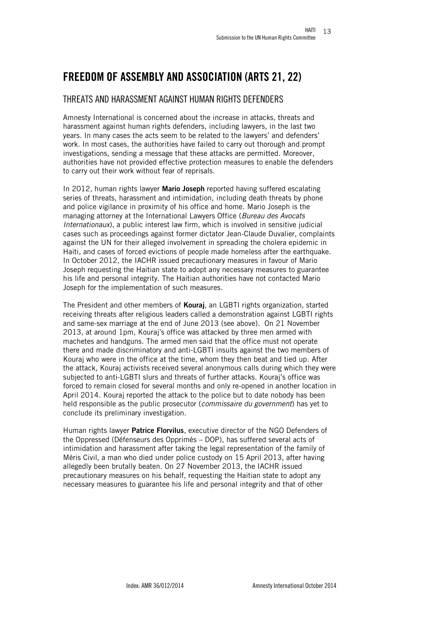## <span id="page-12-0"></span>FREEDOM OF ASSEMBLY AND ASSOCIATION (ARTS 21, 22)

### <span id="page-12-1"></span>THREATS AND HARASSMENT AGAINST HUMAN RIGHTS DEFENDERS

Amnesty International is concerned about the increase in attacks, threats and harassment against human rights defenders, including lawyers, in the last two years. In many cases the acts seem to be related to the lawyers' and defenders' work. In most cases, the authorities have failed to carry out thorough and prompt investigations, sending a message that these attacks are permitted. Moreover, authorities have not provided effective protection measures to enable the defenders to carry out their work without fear of reprisals.

In 2012, human rights lawyer Mario Joseph reported having suffered escalating series of threats, harassment and intimidation, including death threats by phone and police vigilance in proximity of his office and home. Mario Joseph is the managing attorney at the International Lawyers Office (*Bureau des Avocats Internationaux*), a public interest law firm, which is involved in sensitive judicial cases such as proceedings against former dictator Jean-Claude Duvalier, complaints against the UN for their alleged involvement in spreading the cholera epidemic in Haiti, and cases of forced evictions of people made homeless after the earthquake. In October 2012, the IACHR issued precautionary measures in favour of Mario Joseph requesting the Haitian state to adopt any necessary measures to guarantee his life and personal integrity. The Haitian authorities have not contacted Mario Joseph for the implementation of such measures.

The President and other members of **Kourai**, an LGBTI rights organization, started receiving threats after religious leaders called a demonstration against LGBTI rights and same-sex marriage at the end of June 2013 (see above). On 21 November 2013, at around 1pm, Kouraj's office was attacked by three men armed with machetes and handguns. The armed men said that the office must not operate there and made discriminatory and anti-LGBTI insults against the two members of Kouraj who were in the office at the time, whom they then beat and tied up. After the attack, Kouraj activists received several anonymous calls during which they were subjected to anti-LGBTI slurs and threats of further attacks. Kouraj's office was forced to remain closed for several months and only re-opened in another location in April 2014. Kouraj reported the attack to the police but to date nobody has been held responsible as the public prosecutor (*commissaire du government*) has yet to conclude its preliminary investigation.

Human rights lawyer Patrice Florvilus, executive director of the NGO Defenders of the Oppressed (Défenseurs des Opprimés – DOP), has suffered several acts of intimidation and harassment after taking the legal representation of the family of Méris Civil, a man who died under police custody on 15 April 2013, after having allegedly been brutally beaten. On 27 November 2013, the IACHR issued precautionary measures on his behalf, requesting the Haitian state to adopt any necessary measures to guarantee his life and personal integrity and that of other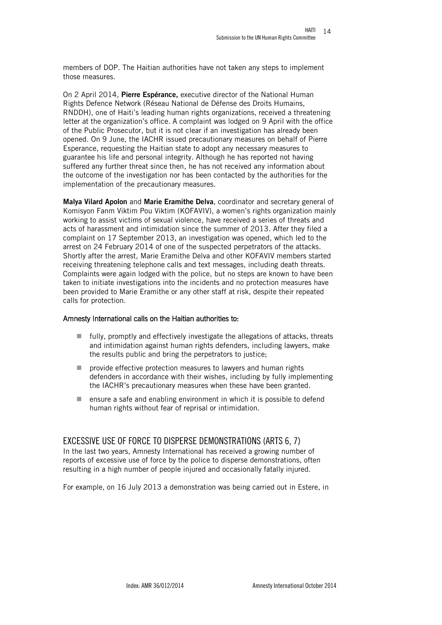members of DOP. The Haitian authorities have not taken any steps to implement those measures.

On 2 April 2014, Pierre Espérance, executive director of the National Human Rights Defence Network (Réseau National de Défense des Droits Humains, RNDDH), one of Haiti's leading human rights organizations, received a threatening letter at the organization's office. A complaint was lodged on 9 April with the office of the Public Prosecutor, but it is not clear if an investigation has already been opened. On 9 June, the IACHR issued precautionary measures on behalf of Pierre Esperance, requesting the Haitian state to adopt any necessary measures to guarantee his life and personal integrity. Although he has reported not having suffered any further threat since then, he has not received any information about the outcome of the investigation nor has been contacted by the authorities for the implementation of the precautionary measures.

Malya Vilard Apolon and Marie Eramithe Delva, coordinator and secretary general of Komisyon Fanm Viktim Pou Viktim (KOFAVIV), a women's rights organization mainly working to assist victims of sexual violence, have received a series of threats and acts of harassment and intimidation since the summer of 2013. After they filed a complaint on 17 September 2013, an investigation was opened, which led to the arrest on 24 February 2014 of one of the suspected perpetrators of the attacks. Shortly after the arrest, Marie Eramithe Delva and other KOFAVIV members started receiving threatening telephone calls and text messages, including death threats. Complaints were again lodged with the police, but no steps are known to have been taken to initiate investigations into the incidents and no protection measures have been provided to Marie Eramithe or any other staff at risk, despite their repeated calls for protection.

#### Amnesty International calls on the Haitian authorities to:

- $\blacksquare$  fully, promptly and effectively investigate the allegations of attacks, threats and intimidation against human rights defenders, including lawyers, make the results public and bring the perpetrators to justice;
- $\blacksquare$  provide effective protection measures to lawyers and human rights defenders in accordance with their wishes, including by fully implementing the IACHR's precautionary measures when these have been granted.
- $\blacksquare$  ensure a safe and enabling environment in which it is possible to defend human rights without fear of reprisal or intimidation.

#### <span id="page-13-0"></span>EXCESSIVE USE OF FORCE TO DISPERSE DEMONSTRATIONS (ARTS 6, 7)

In the last two years, Amnesty International has received a growing number of reports of excessive use of force by the police to disperse demonstrations, often resulting in a high number of people injured and occasionally fatally injured.

For example, on 16 July 2013 a demonstration was being carried out in Estere, in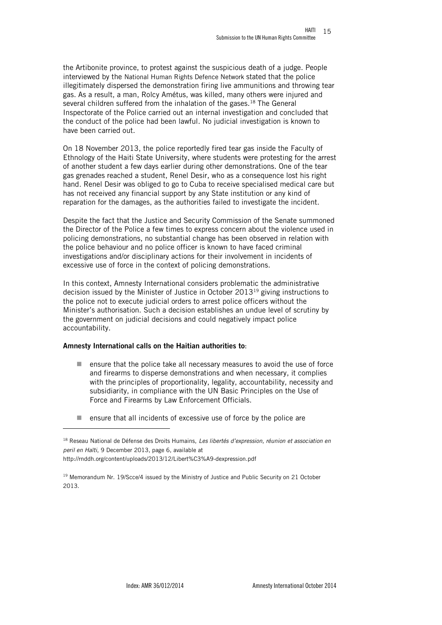the Artibonite province, to protest against the suspicious death of a judge. People interviewed by the National Human Rights Defence Network stated that the police illegitimately dispersed the demonstration firing live ammunitions and throwing tear gas. As a result, a man, Rolcy Amétus, was killed, many others were injured and several children suffered from the inhalation of the gases.<sup>18</sup> The General Inspectorate of the Police carried out an internal investigation and concluded that the conduct of the police had been lawful. No judicial investigation is known to have been carried out.

On 18 November 2013, the police reportedly fired tear gas inside the Faculty of Ethnology of the Haiti State University, where students were protesting for the arrest of another student a few days earlier during other demonstrations. One of the tear gas grenades reached a student, Renel Desir, who as a consequence lost his right hand. Renel Desir was obliged to go to Cuba to receive specialised medical care but has not received any financial support by any State institution or any kind of reparation for the damages, as the authorities failed to investigate the incident.

Despite the fact that the Justice and Security Commission of the Senate summoned the Director of the Police a few times to express concern about the violence used in policing demonstrations, no substantial change has been observed in relation with the police behaviour and no police officer is known to have faced criminal investigations and/or disciplinary actions for their involvement in incidents of excessive use of force in the context of policing demonstrations.

In this context, Amnesty International considers problematic the administrative decision issued by the Minister of Justice in October 2013<sup>19</sup> giving instructions to the police not to execute judicial orders to arrest police officers without the Minister's authorisation. Such a decision establishes an undue level of scrutiny by the government on judicial decisions and could negatively impact police accountability.

#### Amnesty International calls on the Haitian authorities to:

- ensure that the police take all necessary measures to avoid the use of force and firearms to disperse demonstrations and when necessary, it complies with the principles of proportionality, legality, accountability, necessity and subsidiarity, in compliance with the UN Basic Principles on the Use of Force and Firearms by Law Enforcement Officials.
- $\blacksquare$  ensure that all incidents of excessive use of force by the police are

<sup>18</sup> Reseau National de Défense des Droits Humains, *Les libertés d'expression, réunion et association en peril en Haïti*, 9 December 2013, page 6, available at http://rnddh.org/content/uploads/2013/12/Libert%C3%A9-dexpression.pdf

 $19$  Memorandum Nr. 19/Scce/4 issued by the Ministry of Justice and Public Security on 21 October 2013.